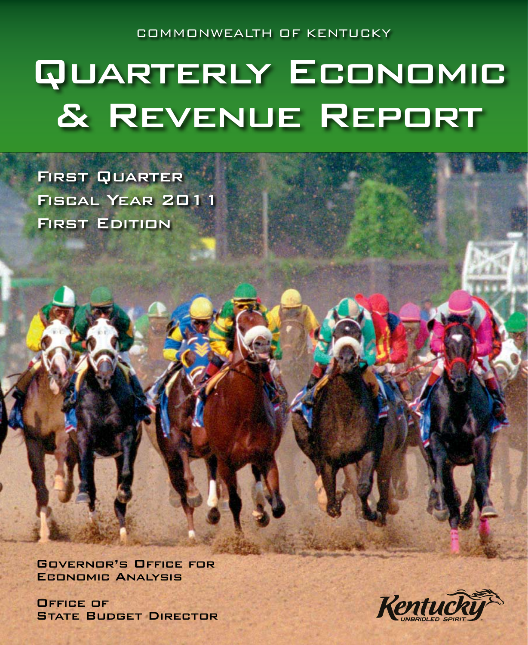COMMONWEALTH OF KENTUCKY

# Quarterly Economic & Revenue Report

First Quarter Fiscal Year 2011 First Edition

Governor's Office for Economic Analysis

Office of **STATE BUDGET DIRECTOR** 

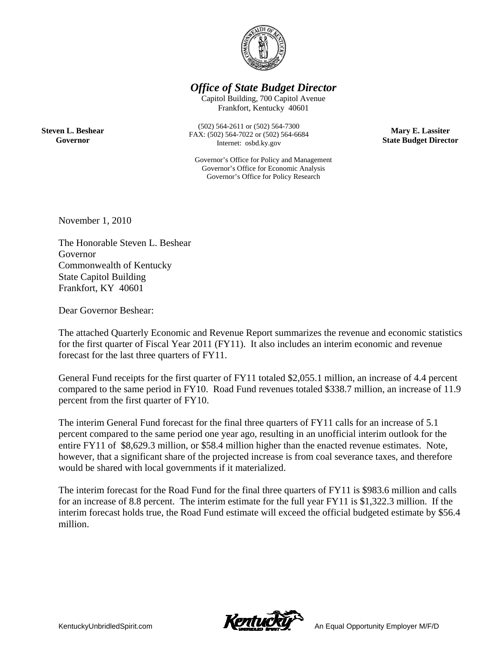

*Office of State Budget Director* 

Capitol Building, 700 Capitol Avenue Frankfort, Kentucky 40601

**Steven L. Beshear Governor** 

(502) 564-2611 or (502) 564-7300 FAX: (502) 564-7022 or (502) 564-6684 Internet: osbd.ky.gov

Governor's Office for Policy and Management Governor's Office for Economic Analysis Governor's Office for Policy Research

**Mary E. Lassiter State Budget Director** 

November 1, 2010

The Honorable Steven L. Beshear Governor Commonwealth of Kentucky State Capitol Building Frankfort, KY 40601

Dear Governor Beshear:

The attached Quarterly Economic and Revenue Report summarizes the revenue and economic statistics for the first quarter of Fiscal Year 2011 (FY11). It also includes an interim economic and revenue forecast for the last three quarters of FY11.

General Fund receipts for the first quarter of FY11 totaled \$2,055.1 million, an increase of 4.4 percent compared to the same period in FY10. Road Fund revenues totaled \$338.7 million, an increase of 11.9 percent from the first quarter of FY10.

The interim General Fund forecast for the final three quarters of FY11 calls for an increase of 5.1 percent compared to the same period one year ago, resulting in an unofficial interim outlook for the entire FY11 of \$8,629.3 million, or \$58.4 million higher than the enacted revenue estimates. Note, however, that a significant share of the projected increase is from coal severance taxes, and therefore would be shared with local governments if it materialized.

The interim forecast for the Road Fund for the final three quarters of FY11 is \$983.6 million and calls for an increase of 8.8 percent. The interim estimate for the full year FY11 is \$1,322.3 million. If the interim forecast holds true, the Road Fund estimate will exceed the official budgeted estimate by \$56.4 million.

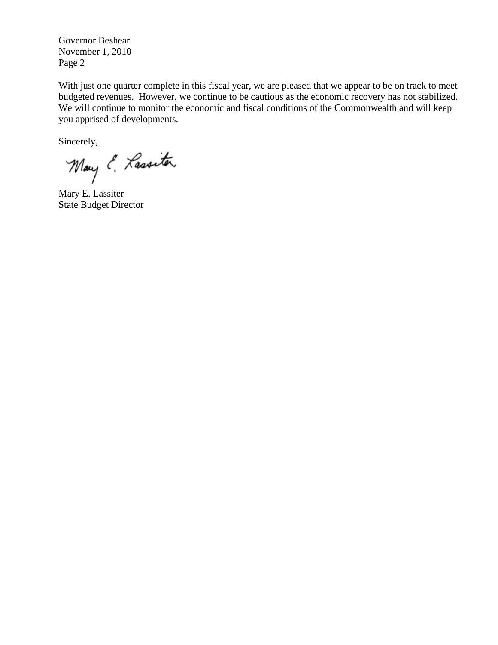Governor Beshear November 1, 2010 Page 2

With just one quarter complete in this fiscal year, we are pleased that we appear to be on track to meet budgeted revenues. However, we continue to be cautious as the economic recovery has not stabilized. We will continue to monitor the economic and fiscal conditions of the Commonwealth and will keep you apprised of developments.

Sincerely,<br>May E. Lassiter.

Mary E. Lassiter State Budget Director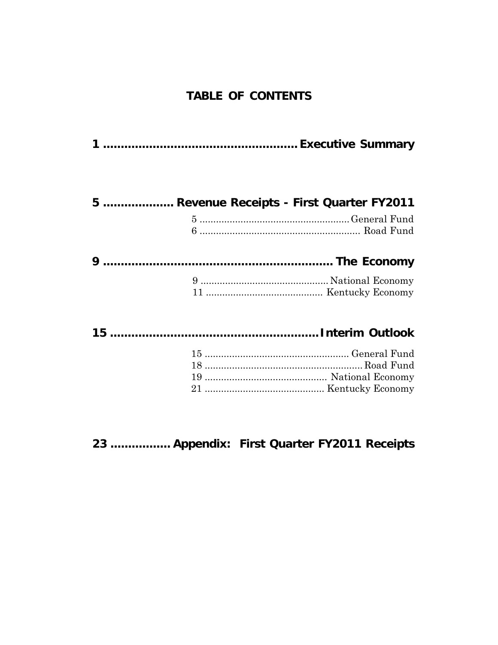### TABLE OF CONTENTS

|   | 5  Revenue Receipts - First Quarter FY2011 |
|---|--------------------------------------------|
| 9 |                                            |
|   |                                            |
|   |                                            |

23 ................. Appendix: First Quarter FY2011 Receipts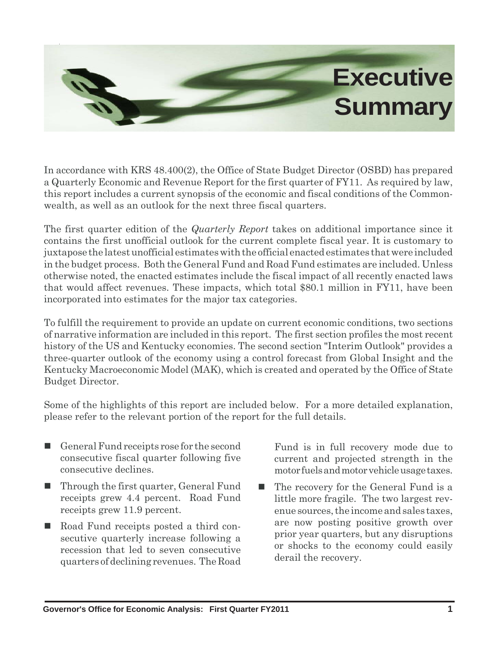

In accordance with KRS 48.400(2), the Office of State Budget Director (OSBD) has prepared a Quarterly Economic and Revenue Report for the first quarter of FY11. As required by law, this report includes a current synopsis of the economic and fiscal conditions of the Commonwealth, as well as an outlook for the next three fiscal quarters.

The first quarter edition of the *Quarterly Report* takes on additional importance since it contains the first unofficial outlook for the current complete fiscal year. It is customary to juxtapose the latest unofficial estimates with the official enacted estimates that were included in the budget process. Both the General Fund and Road Fund estimates are included. Unless otherwise noted, the enacted estimates include the fiscal impact of all recently enacted laws that would affect revenues. These impacts, which total \$80.1 million in FY11, have been incorporated into estimates for the major tax categories.

To fulfill the requirement to provide an update on current economic conditions, two sections of narrative information are included in this report. The first section profiles the most recent history of the US and Kentucky economies. The second section "Interim Outlook" provides a three-quarter outlook of the economy using a control forecast from Global Insight and the Kentucky Macroeconomic Model (MAK), which is created and operated by the Office of State Budget Director.

Some of the highlights of this report are included below. For a more detailed explanation, please refer to the relevant portion of the report for the full details.

- General Fund receipts rose for the second consecutive fiscal quarter following five consecutive declines.
- Through the first quarter, General Fund receipts grew 4.4 percent. Road Fund receipts grew 11.9 percent.
- Road Fund receipts posted a third consecutive quarterly increase following a recession that led to seven consecutive quarters of declining revenues. The Road

Fund is in full recovery mode due to current and projected strength in the motor fuels and motor vehicle usage taxes.

■ The recovery for the General Fund is a little more fragile. The two largest revenue sources, the income and sales taxes, are now posting positive growth over prior year quarters, but any disruptions or shocks to the economy could easily derail the recovery.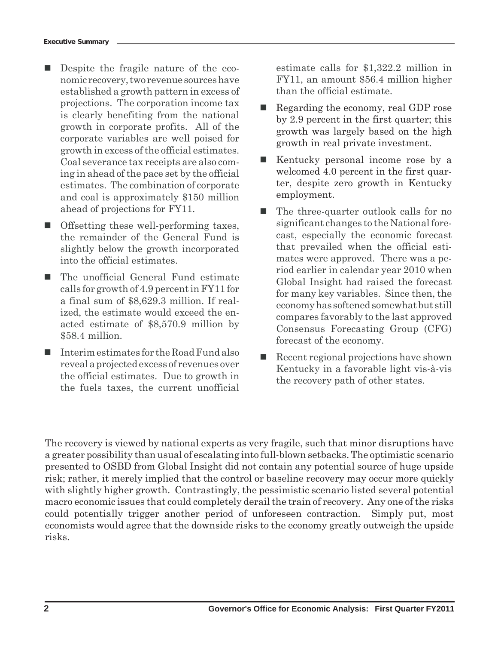- Despite the fragile nature of the economic recovery, two revenue sources have established a growth pattern in excess of projections. The corporation income tax is clearly benefiting from the national growth in corporate profits. All of the corporate variables are well poised for growth in excess of the official estimates. Coal severance tax receipts are also coming in ahead of the pace set by the official estimates. The combination of corporate and coal is approximately \$150 million ahead of projections for FY11.
- Offsetting these well-performing taxes, the remainder of the General Fund is slightly below the growth incorporated into the official estimates.
- The unofficial General Fund estimate calls for growth of 4.9 percent in FY11 for a final sum of \$8,629.3 million. If realized, the estimate would exceed the enacted estimate of \$8,570.9 million by \$58.4 million.
- Interim estimates for the Road Fund also reveal a projected excess of revenues over the official estimates. Due to growth in the fuels taxes, the current unofficial

estimate calls for \$1,322.2 million in FY11, an amount \$56.4 million higher than the official estimate.

- Regarding the economy, real GDP rose by 2.9 percent in the first quarter; this growth was largely based on the high growth in real private investment.
- Kentucky personal income rose by a welcomed 4.0 percent in the first quarter, despite zero growth in Kentucky employment.
- The three-quarter outlook calls for no significant changes to the National forecast, especially the economic forecast that prevailed when the official estimates were approved. There was a period earlier in calendar year 2010 when Global Insight had raised the forecast for many key variables. Since then, the economy has softened somewhat but still compares favorably to the last approved Consensus Forecasting Group (CFG) forecast of the economy.
- Recent regional projections have shown Kentucky in a favorable light vis-à-vis the recovery path of other states.

The recovery is viewed by national experts as very fragile, such that minor disruptions have a greater possibility than usual of escalating into full-blown setbacks. The optimistic scenario presented to OSBD from Global Insight did not contain any potential source of huge upside risk; rather, it merely implied that the control or baseline recovery may occur more quickly with slightly higher growth. Contrastingly, the pessimistic scenario listed several potential macro economic issues that could completely derail the train of recovery. Any one of the risks could potentially trigger another period of unforeseen contraction. Simply put, most economists would agree that the downside risks to the economy greatly outweigh the upside risks.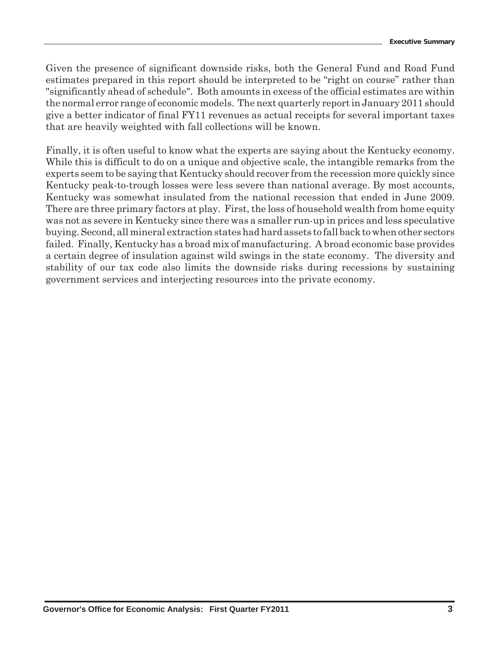"significantly ahead of schedule". Both amounts in excess of the official estimates are within Given the presence of significant downside risks, both the General Fund and Road Fund estimates prepared in this report should be interpreted to be "right on course" rather than the normal error range of economic models. The next quarterly report in January 2011 should give a better indicator of final FY11 revenues as actual receipts for several important taxes that are heavily weighted with fall collections will be known.

Finally, it is often useful to know what the experts are saying about the Kentucky economy. While this is difficult to do on a unique and objective scale, the intangible remarks from the experts seem to be saying that Kentucky should recover from the recession more quickly since Kentucky peak-to-trough losses were less severe than national average. By most accounts, Kentucky was somewhat insulated from the national recession that ended in June 2009. There are three primary factors at play. First, the loss of household wealth from home equity was not as severe in Kentucky since there was a smaller run-up in prices and less speculative buying. Second, all mineral extraction states had hard assets to fall back to when other sectors failed. Finally, Kentucky has a broad mix of manufacturing. A broad economic base provides a certain degree of insulation against wild swings in the state economy. The diversity and stability of our tax code also limits the downside risks during recessions by sustaining government services and interjecting resources into the private economy.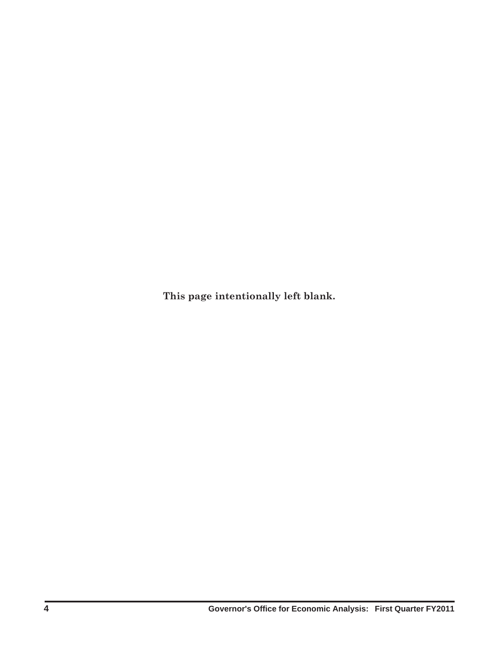**This page intentionally left blank.**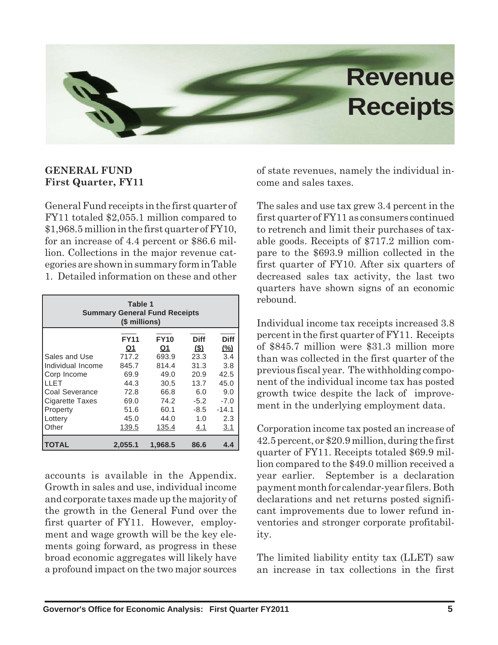

#### **GENERAL FUND First Quarter, FY11**

General Fund receipts in the first quarter of FY11 totaled \$2,055.1 million compared to \$1,968.5 million in the first quarter of FY10, for an increase of 4.4 percent or \$86.6 million. Collections in the major revenue categories are shown in summary form in Table 1. Detailed information on these and other

|                   | Table 1<br>(\$ millions) | <b>Summary General Fund Receipts</b> |                    |                    |
|-------------------|--------------------------|--------------------------------------|--------------------|--------------------|
|                   | <b>FY11</b><br>Q1        | <b>FY10</b><br>Q1                    | <b>Diff</b><br>(5) | <b>Diff</b><br>(%) |
| Sales and Use     | 717.2                    | 693.9                                | 23.3               | 3.4                |
| Individual Income | 845.7                    | 814.4                                | 31.3               | 3.8                |
| Corp Income       | 69.9                     | 49.0                                 | 20.9               | 42.5               |
| <b>LLET</b>       | 44.3                     | 30.5                                 | 13.7               | 45.0               |
| Coal Severance    | 72.8                     | 66.8                                 | 6.0                | 9.0                |
| Cigarette Taxes   | 69.0                     | 74.2                                 | $-5.2$             | $-7.0$             |
| <b>Property</b>   | 51.6                     | 60.1                                 | $-8.5$             | $-14.1$            |
| Lottery           | 45.0                     | 44.0                                 | 1.0                | 2.3                |
| l Other           | 139.5                    | 135.4                                | 4.1                | 3.1                |
| <b>ITOTAL</b>     | 2,055.1                  | 1,968.5                              | 86.6               | 4.4                |

accounts is available in the Appendix. Growth in sales and use, individual income and corporate taxes made up the majority of the growth in the General Fund over the first quarter of FY11. However, employment and wage growth will be the key elements going forward, as progress in these broad economic aggregates will likely have a profound impact on the two major sources

of state revenues, namely the individual income and sales taxes.

The sales and use tax grew 3.4 percent in the first quarter of FY11 as consumers continued to retrench and limit their purchases of taxable goods. Receipts of \$717.2 million compare to the \$693.9 million collected in the first quarter of FY10. After six quarters of decreased sales tax activity, the last two quarters have shown signs of an economic rebound.

Individual income tax receipts increased 3.8 percent in the first quarter of FY11. Receipts of \$845.7 million were \$31.3 million more than was collected in the first quarter of the previous fiscal year. The withholding component of the individual income tax has posted growth twice despite the lack of improvement in the underlying employment data.

Corporation income tax posted an increase of 42.5 percent, or \$20.9 million, during the first quarter of FY11. Receipts totaled \$69.9 million compared to the \$49.0 million received a year earlier. September is a declaration payment month for calendar-year filers. Both declarations and net returns posted significant improvements due to lower refund inventories and stronger corporate profitability.

The limited liability entity tax (LLET) saw an increase in tax collections in the first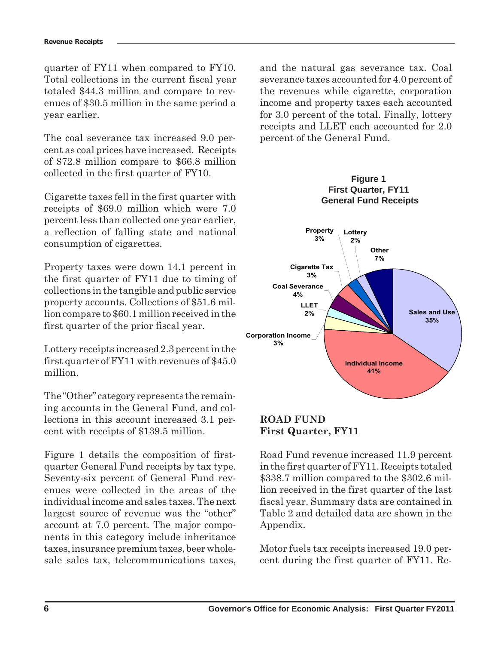quarter of FY11 when compared to FY10. Total collections in the current fiscal year totaled \$44.3 million and compare to revenues of \$30.5 million in the same period a year earlier.

The coal severance tax increased 9.0 percent as coal prices have increased. Receipts of \$72.8 million compare to \$66.8 million collected in the first quarter of FY10.

Cigarette taxes fell in the first quarter with receipts of \$69.0 million which were 7.0 percent less than collected one year earlier, a reflection of falling state and national consumption of cigarettes.

Property taxes were down 14.1 percent in the first quarter of FY11 due to timing of collections in the tangible and public service property accounts. Collections of \$51.6 million compare to \$60.1 million received in the first quarter of the prior fiscal year.

Lottery receipts increased 2.3 percent in the first quarter of FY11 with revenues of \$45.0 million.

The "Other" category represents the remaining accounts in the General Fund, and collections in this account increased 3.1 percent with receipts of \$139.5 million.

Figure 1 details the composition of firstquarter General Fund receipts by tax type. Seventy-six percent of General Fund revenues were collected in the areas of the individual income and sales taxes. The next largest source of revenue was the "other" account at 7.0 percent. The major components in this category include inheritance taxes, insurance premium taxes, beer wholesale sales tax, telecommunications taxes,

and the natural gas severance tax. Coal severance taxes accounted for 4.0 percent of the revenues while cigarette, corporation income and property taxes each accounted for 3.0 percent of the total. Finally, lottery receipts and LLET each accounted for 2.0 percent of the General Fund.



#### **ROAD FUND First Quarter, FY11**

Road Fund revenue increased 11.9 percent in the first quarter of FY11. Receipts totaled \$338.7 million compared to the \$302.6 million received in the first quarter of the last fiscal year. Summary data are contained in Table 2 and detailed data are shown in the Appendix.

Motor fuels tax receipts increased 19.0 percent during the first quarter of FY11. Re-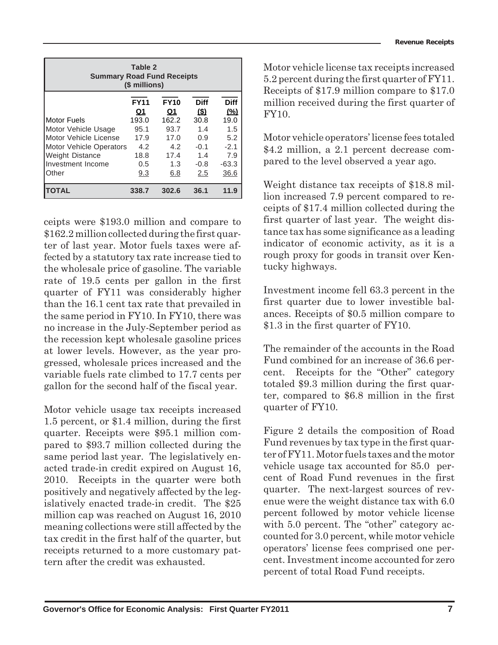| <b>Summary Road Fund Receipts</b> | Table 2<br>(\$ millions) |             |               |             |
|-----------------------------------|--------------------------|-------------|---------------|-------------|
| IMotor Fuels                      | <b>FY11</b>              | <b>FY10</b> | <b>Diff</b>   | <b>Diff</b> |
|                                   | <u>Q1</u>                | <u>Q1</u>   | $\circled{f}$ | <u>(%)</u>  |
|                                   | 193.0                    | 162.2       | 30.8          | 19.0        |
| Motor Vehicle Usage               | 95.1                     | 93.7        | 1.4           | 1.5         |
| Motor Vehicle License             | 17.9                     | 17.0        | 0.9           | 5.2         |
| Motor Vehicle Operators           | 4.2                      | 4.2         | $-0.1$        | $-2.1$      |
| Weight Distance                   | 18.8                     | 17.4        | 1.4           | 7.9         |
| Investment Income                 | 0.5                      | 1.3         | $-0.8$        | $-63.3$     |
| <b>Other</b>                      | 9.3                      | 6.8         | 2.5           | 36.6        |
| <b>TOTAL</b>                      | 338.7                    | 302.6       | 36.1          | 11.9        |

ceipts were \$193.0 million and compare to \$162.2 million collected during the first quarter of last year. Motor fuels taxes were affected by a statutory tax rate increase tied to the wholesale price of gasoline. The variable rate of 19.5 cents per gallon in the first quarter of FY11 was considerably higher than the 16.1 cent tax rate that prevailed in the same period in FY10. In FY10, there was no increase in the July-September period as the recession kept wholesale gasoline prices at lower levels. However, as the year progressed, wholesale prices increased and the variable fuels rate climbed to 17.7 cents per gallon for the second half of the fiscal year.

Motor vehicle usage tax receipts increased 1.5 percent, or \$1.4 million, during the first quarter. Receipts were \$95.1 million compared to \$93.7 million collected during the same period last year. The legislatively enacted trade-in credit expired on August 16, 2010. Receipts in the quarter were both positively and negatively affected by the legislatively enacted trade-in credit. The \$25 million cap was reached on August 16, 2010 meaning collections were still affected by the tax credit in the first half of the quarter, but receipts returned to a more customary pattern after the credit was exhausted.

Weight distance tax receipts of \$18.8 million increased 7.9 percent compared to receipts of \$17.4 million collected during the first quarter of last year. The weight distance tax has some significance as a leading indicator of economic activity, as it is a rough proxy for goods in transit over Kentucky highways.

Investment income fell 63.3 percent in the first quarter due to lower investible balances. Receipts of \$0.5 million compare to \$1.3 in the first quarter of FY10.

The remainder of the accounts in the Road Fund combined for an increase of 36.6 percent. Receipts for the "Other" category totaled \$9.3 million during the first quarter, compared to \$6.8 million in the first quarter of FY10.

Figure 2 details the composition of Road Fund revenues by tax type in the first quarter of FY11. Motor fuels taxes and the motor vehicle usage tax accounted for 85.0 percent of Road Fund revenues in the first quarter. The next-largest sources of revenue were the weight distance tax with 6.0 percent followed by motor vehicle license with 5.0 percent. The "other" category accounted for 3.0 percent, while motor vehicle operators' license fees comprised one percent. Investment income accounted for zero percent of total Road Fund receipts.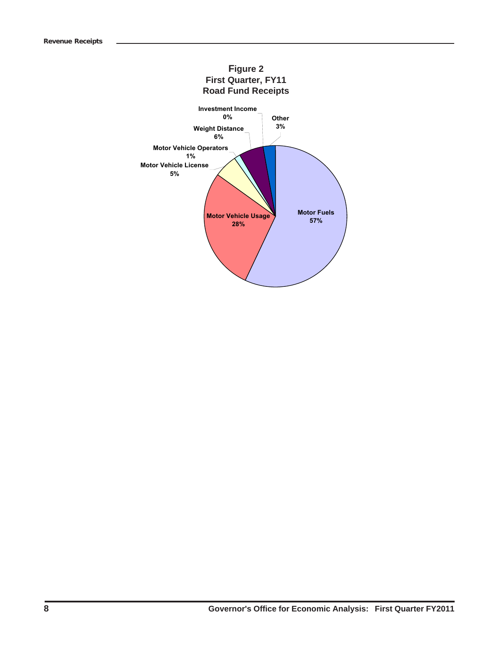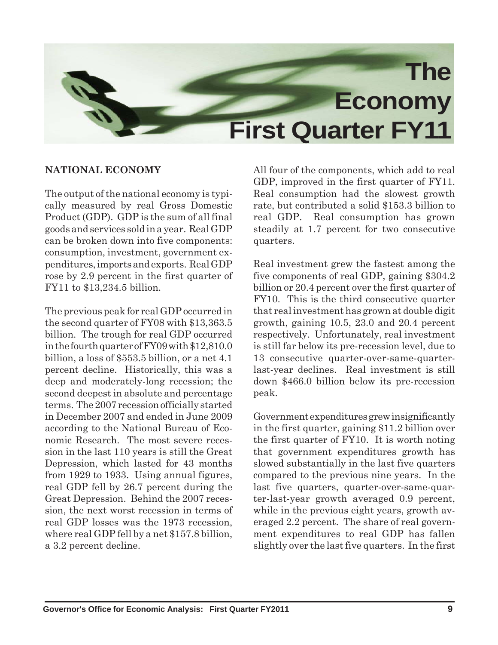

#### **NATIONAL ECONOMY**

The output of the national economy is typically measured by real Gross Domestic Product (GDP). GDP is the sum of all final goods and services sold in a year. Real GDP can be broken down into five components: consumption, investment, government expenditures, imports and exports. Real GDP rose by 2.9 percent in the first quarter of FY11 to \$13,234.5 billion.

The previous peak for real GDP occurred in the second quarter of FY08 with \$13,363.5 billion. The trough for real GDP occurred in the fourth quarter of FY09 with \$12,810.0 billion, a loss of \$553.5 billion, or a net 4.1 percent decline. Historically, this was a deep and moderately-long recession; the second deepest in absolute and percentage terms. The 2007 recession officially started in December 2007 and ended in June 2009 according to the National Bureau of Economic Research. The most severe recession in the last 110 years is still the Great Depression, which lasted for 43 months from 1929 to 1933. Using annual figures, real GDP fell by 26.7 percent during the Great Depression. Behind the 2007 recession, the next worst recession in terms of real GDP losses was the 1973 recession, where real GDP fell by a net \$157.8 billion, a 3.2 percent decline.

All four of the components, which add to real GDP, improved in the first quarter of FY11. Real consumption had the slowest growth rate, but contributed a solid \$153.3 billion to real GDP. Real consumption has grown steadily at 1.7 percent for two consecutive quarters.

Real investment grew the fastest among the five components of real GDP, gaining \$304.2 billion or 20.4 percent over the first quarter of FY10. This is the third consecutive quarter that real investment has grown at double digit growth, gaining 10.5, 23.0 and 20.4 percent respectively. Unfortunately, real investment is still far below its pre-recession level, due to 13 consecutive quarter-over-same-quarterlast-year declines. Real investment is still down \$466.0 billion below its pre-recession peak.

Government expenditures grew insignificantly in the first quarter, gaining \$11.2 billion over the first quarter of FY10. It is worth noting that government expenditures growth has slowed substantially in the last five quarters compared to the previous nine years. In the last five quarters, quarter-over-same-quarter-last-year growth averaged 0.9 percent, while in the previous eight years, growth averaged 2.2 percent. The share of real government expenditures to real GDP has fallen slightly over the last five quarters. In the first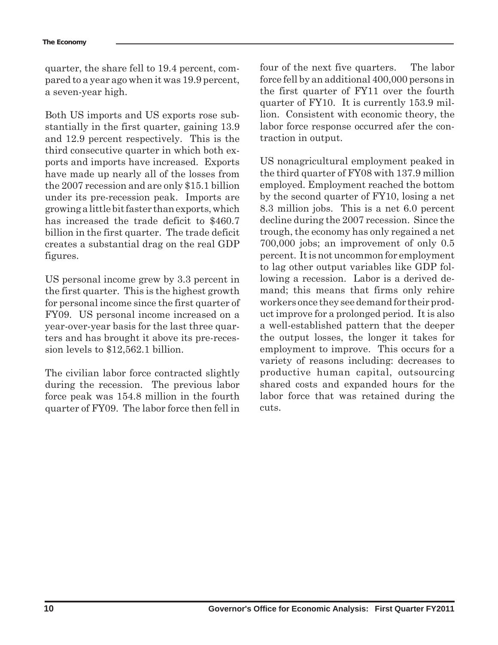quarter, the share fell to 19.4 percent, compared to a year ago when it was 19.9 percent, a seven-year high.

Both US imports and US exports rose substantially in the first quarter, gaining 13.9 and 12.9 percent respectively. This is the third consecutive quarter in which both exports and imports have increased. Exports have made up nearly all of the losses from the 2007 recession and are only \$15.1 billion under its pre-recession peak. Imports are growing a little bit faster than exports, which has increased the trade deficit to \$460.7 billion in the first quarter. The trade deficit creates a substantial drag on the real GDP figures.

US personal income grew by 3.3 percent in the first quarter. This is the highest growth for personal income since the first quarter of FY09. US personal income increased on a year-over-year basis for the last three quarters and has brought it above its pre-recession levels to \$12,562.1 billion.

The civilian labor force contracted slightly during the recession. The previous labor force peak was 154.8 million in the fourth quarter of FY09. The labor force then fell in four of the next five quarters. The labor force fell by an additional 400,000 persons in the first quarter of FY11 over the fourth quarter of FY10. It is currently 153.9 million. Consistent with economic theory, the labor force response occurred afer the contraction in output.

US nonagricultural employment peaked in the third quarter of FY08 with 137.9 million employed. Employment reached the bottom by the second quarter of FY10, losing a net 8.3 million jobs. This is a net 6.0 percent decline during the 2007 recession. Since the trough, the economy has only regained a net 700,000 jobs; an improvement of only 0.5 percent. It is not uncommon for employment to lag other output variables like GDP following a recession. Labor is a derived demand; this means that firms only rehire workers once they see demand for their product improve for a prolonged period. It is also a well-established pattern that the deeper the output losses, the longer it takes for employment to improve. This occurs for a variety of reasons including: decreases to productive human capital, outsourcing shared costs and expanded hours for the labor force that was retained during the cuts.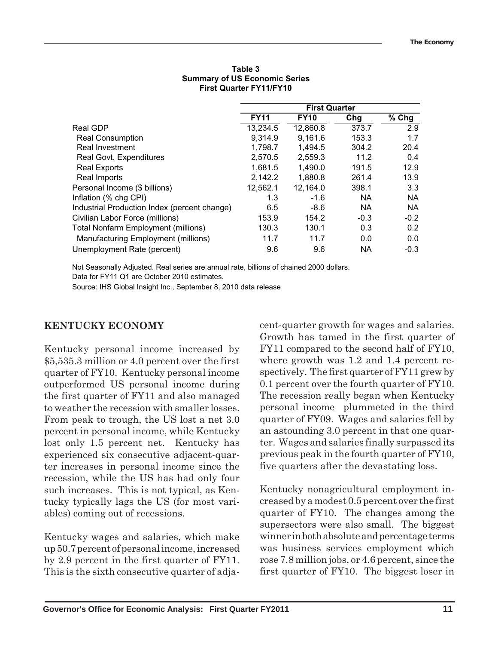|                                              |             | <b>First Quarter</b> |           |               |
|----------------------------------------------|-------------|----------------------|-----------|---------------|
|                                              | <b>FY11</b> | <b>FY10</b>          | Chg       | % Chg         |
| Real GDP                                     | 13,234.5    | 12,860.8             | 373.7     | 2.9           |
| <b>Real Consumption</b>                      | 9,314.9     | 9,161.6              | 153.3     | 1.7           |
| Real Investment                              | 1,798.7     | 1,494.5              | 304.2     | 20.4          |
| Real Govt. Expenditures                      | 2,570.5     | 2,559.3              | 11.2      | 0.4           |
| Real Exports                                 | 1,681.5     | 1,490.0              | 191.5     | 12.9          |
| Real Imports                                 | 2,142.2     | 1,880.8              | 261.4     | 13.9          |
| Personal Income (\$ billions)                | 12,562.1    | 12,164.0             | 398.1     | 3.3           |
| Inflation (% chg CPI)                        | 1.3         | $-1.6$               | <b>NA</b> | <b>NA</b>     |
| Industrial Production Index (percent change) | 6.5         | $-8.6$               | <b>NA</b> | <b>NA</b>     |
| Civilian Labor Force (millions)              | 153.9       | 154.2                | $-0.3$    | $-0.2$        |
| Total Nonfarm Employment (millions)          | 130.3       | 130.1                | 0.3       | $0.2^{\circ}$ |
| Manufacturing Employment (millions)          | 11.7        | 11.7                 | 0.0       | 0.0           |
| Unemployment Rate (percent)                  | 9.6         | 9.6                  | NА        | $-0.3$        |
|                                              |             |                      |           |               |

#### $\frac{1}{2}$  **Number 2007 Canonic Figure 2007 Contract Report Figure 2007 Table 3 Summary of US Economic Series First Quarter FY11/FY10**

Not Seasonally Adjusted. Real series are annual rate, billions of chained 2000 dollars. Data for FY11 Q1 are October 2010 estimates.

Source: IHS Global Insight Inc., September 8, 2010 data release

#### **KENTUCKY ECONOMY**

Kentucky personal income increased by \$5,535.3 million or 4.0 percent over the first quarter of FY10. Kentucky personal income outperformed US personal income during the first quarter of FY11 and also managed to weather the recession with smaller losses. From peak to trough, the US lost a net 3.0 percent in personal income, while Kentucky lost only 1.5 percent net. Kentucky has experienced six consecutive adjacent-quarter increases in personal income since the recession, while the US has had only four such increases. This is not typical, as Kentucky typically lags the US (for most variables) coming out of recessions.

Kentucky wages and salaries, which make up 50.7 percent of personal income, increased by 2.9 percent in the first quarter of FY11. This is the sixth consecutive quarter of adjacent-quarter growth for wages and salaries. Growth has tamed in the first quarter of FY11 compared to the second half of FY10, where growth was 1.2 and 1.4 percent respectively. The first quarter of FY11 grew by 0.1 percent over the fourth quarter of FY10. The recession really began when Kentucky personal income plummeted in the third quarter of FY09. Wages and salaries fell by an astounding 3.0 percent in that one quarter. Wages and salaries finally surpassed its previous peak in the fourth quarter of FY10, five quarters after the devastating loss.

Kentucky nonagricultural employment increased by a modest 0.5 percent over the first quarter of FY10. The changes among the supersectors were also small. The biggest winner in both absolute and percentage terms was business services employment which rose 7.8 million jobs, or 4.6 percent, since the first quarter of FY10. The biggest loser in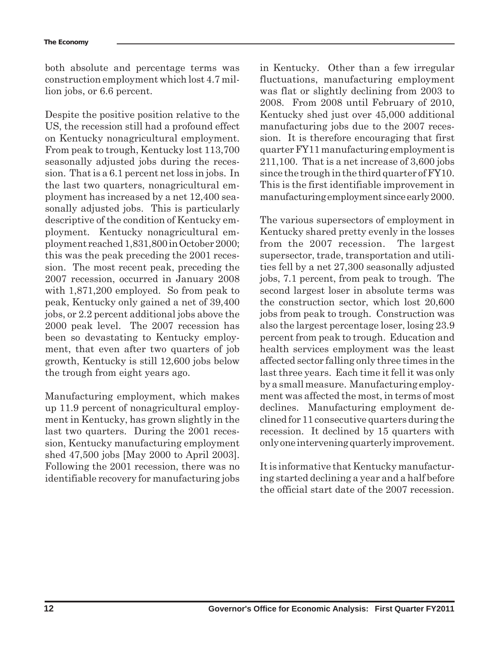both absolute and percentage terms was construction employment which lost 4.7 million jobs, or 6.6 percent.

Despite the positive position relative to the US, the recession still had a profound effect on Kentucky nonagricultural employment. From peak to trough, Kentucky lost 113,700 seasonally adjusted jobs during the recession. That is a 6.1 percent net loss in jobs. In the last two quarters, nonagricultural employment has increased by a net 12,400 seasonally adjusted jobs. This is particularly descriptive of the condition of Kentucky employment. Kentucky nonagricultural employment reached 1,831,800 in October 2000; this was the peak preceding the 2001 recession. The most recent peak, preceding the 2007 recession, occurred in January 2008 with 1,871,200 employed. So from peak to peak, Kentucky only gained a net of 39,400 jobs, or 2.2 percent additional jobs above the 2000 peak level. The 2007 recession has been so devastating to Kentucky employment, that even after two quarters of job growth, Kentucky is still 12,600 jobs below the trough from eight years ago.

Manufacturing employment, which makes up 11.9 percent of nonagricultural employment in Kentucky, has grown slightly in the last two quarters. During the 2001 recession, Kentucky manufacturing employment shed 47,500 jobs [May 2000 to April 2003]. Following the 2001 recession, there was no identifiable recovery for manufacturing jobs in Kentucky. Other than a few irregular fluctuations, manufacturing employment was flat or slightly declining from 2003 to 2008. From 2008 until February of 2010, Kentucky shed just over 45,000 additional manufacturing jobs due to the 2007 recession. It is therefore encouraging that first quarter FY11 manufacturing employment is 211,100. That is a net increase of 3,600 jobs since the trough in the third quarter of FY10. This is the first identifiable improvement in manufacturing employment since early 2000.

The various supersectors of employment in Kentucky shared pretty evenly in the losses from the 2007 recession. The largest supersector, trade, transportation and utilities fell by a net 27,300 seasonally adjusted jobs, 7.1 percent, from peak to trough. The second largest loser in absolute terms was the construction sector, which lost 20,600 jobs from peak to trough. Construction was also the largest percentage loser, losing 23.9 percent from peak to trough. Education and health services employment was the least affected sector falling only three times in the last three years. Each time it fell it was only by a small measure. Manufacturing employment was affected the most, in terms of most declines. Manufacturing employment declined for 11 consecutive quarters during the recession. It declined by 15 quarters with only one intervening quarterly improvement.

It is informative that Kentucky manufacturing started declining a year and a half before the official start date of the 2007 recession.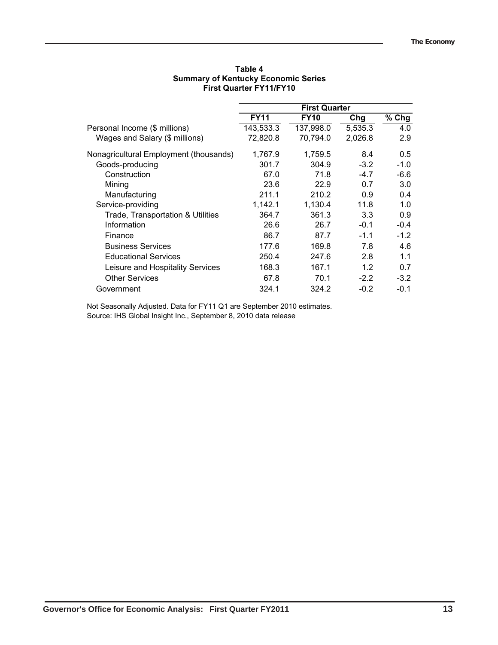|                                        |             | <b>First Quarter</b> |         |         |
|----------------------------------------|-------------|----------------------|---------|---------|
|                                        | <b>FY11</b> | <b>FY10</b>          | Chg     | $%$ Chg |
| Personal Income (\$ millions)          | 143,533.3   | 137,998.0            | 5,535.3 | 4.0     |
| Wages and Salary (\$ millions)         | 72,820.8    | 70,794.0             | 2,026.8 | 2.9     |
| Nonagricultural Employment (thousands) | 1,767.9     | 1,759.5              | 8.4     | 0.5     |
| Goods-producing                        | 301.7       | 304.9                | $-3.2$  | $-1.0$  |
| Construction                           | 67.0        | 71.8                 | $-4.7$  | $-6.6$  |
| Mining                                 | 23.6        | 22.9                 | 0.7     | 3.0     |
| Manufacturing                          | 211.1       | 210.2                | 0.9     | 0.4     |
| Service-providing                      | 1,142.1     | 1,130.4              | 11.8    | 1.0     |
| Trade, Transportation & Utilities      | 364.7       | 361.3                | 3.3     | 0.9     |
| Information                            | 26.6        | 26.7                 | $-0.1$  | $-0.4$  |
| Finance                                | 86.7        | 87.7                 | $-1.1$  | $-1.2$  |
| <b>Business Services</b>               | 177.6       | 169.8                | 7.8     | 4.6     |
| <b>Educational Services</b>            | 250.4       | 247.6                | 2.8     | 1.1     |
| Leisure and Hospitality Services       | 168.3       | 167.1                | 1.2     | 0.7     |
| <b>Other Services</b>                  | 67.8        | 70.1                 | $-2.2$  | $-3.2$  |
| Government                             | 324.1       | 324.2                | $-0.2$  | $-0.1$  |

#### $\frac{1}{2}$  **Number Acts Quarter 1 Except Property Table 4 Summary of Kentucky Economic Series First Quarter FY11/FY10**

Not Seasonally Adjusted. Data for FY11 Q1 are September 2010 estimates. Source: IHS Global Insight Inc., September 8, 2010 data release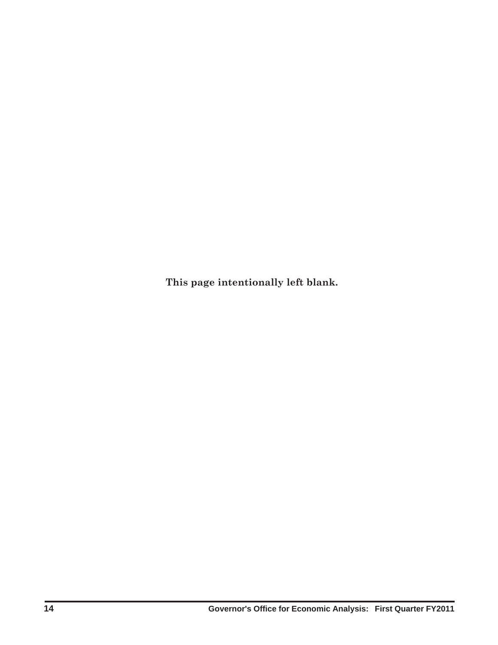**This page intentionally left blank.**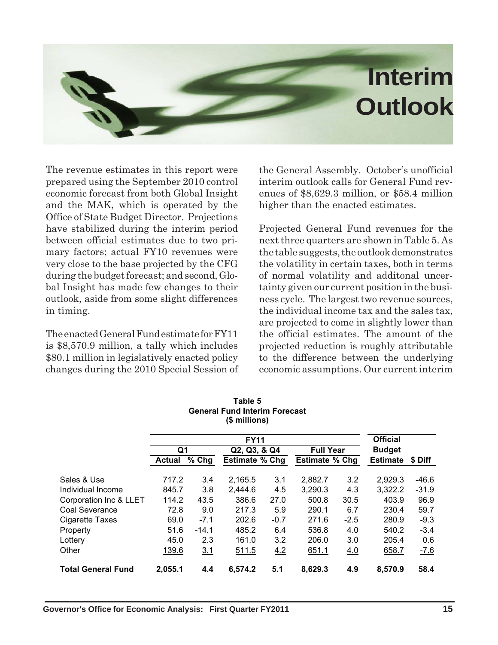

The revenue estimates in this report were prepared using the September 2010 control economic forecast from both Global Insight and the MAK, which is operated by the Office of State Budget Director. Projections have stabilized during the interim period between official estimates due to two primary factors; actual FY10 revenues were very close to the base projected by the CFG during the budget forecast; and second, Global Insight has made few changes to their outlook, aside from some slight differences in timing.

The enacted General Fund estimate for FY11 is \$8,570.9 million, a tally which includes \$80.1 million in legislatively enacted policy changes during the 2010 Special Session of the General Assembly. October's unofficial interim outlook calls for General Fund revenues of \$8,629.3 million, or \$58.4 million higher than the enacted estimates.

Projected General Fund revenues for the next three quarters are shown in Table 5. As the table suggests, the outlook demonstrates the volatility in certain taxes, both in terms of normal volatility and additonal uncertainty given our current position in the business cycle. The largest two revenue sources, the individual income tax and the sales tax, are projected to come in slightly lower than the official estimates. The amount of the projected reduction is roughly attributable to the difference between the underlying economic assumptions. Our current interim

|                           |               |         | (JUILLIUUIS)          |        |                       |        |                 |             |
|---------------------------|---------------|---------|-----------------------|--------|-----------------------|--------|-----------------|-------------|
|                           |               |         | <b>FY11</b>           |        |                       |        | <b>Official</b> |             |
|                           | Q1            |         | Q2, Q3, & Q4          |        | <b>Full Year</b>      |        | <b>Budget</b>   |             |
|                           | <b>Actual</b> | $%$ Chg | <b>Estimate % Chg</b> |        | <b>Estimate % Chg</b> |        | <b>Estimate</b> | \$ Diff     |
| Sales & Use               | 717.2         | 3.4     | 2,165.5               | 3.1    | 2,882.7               | 3.2    | 2,929.3         | $-46.6$     |
| Individual Income         | 845.7         | 3.8     | 2,444.6               | 4.5    | 3,290.3               | 4.3    | 3,322.2         | $-31.9$     |
| Corporation Inc & LLET    | 114.2         | 43.5    | 386.6                 | 27.0   | 500.8                 | 30.5   | 403.9           | 96.9        |
| Coal Severance            | 72.8          | 9.0     | 217.3                 | 5.9    | 290.1                 | 6.7    | 230.4           | 59.7        |
| <b>Cigarette Taxes</b>    | 69.0          | $-7.1$  | 202.6                 | $-0.7$ | 271.6                 | $-2.5$ | 280.9           | $-9.3$      |
| Property                  | 51.6          | $-14.1$ | 485.2                 | 6.4    | 536.8                 | 4.0    | 540.2           | $-3.4$      |
| Lottery                   | 45.0          | 2.3     | 161.0                 | 3.2    | 206.0                 | 3.0    | 205.4           | 0.6         |
| Other                     | 139.6         | 3.1     | 511.5                 | 4.2    | 651.1                 | 4.0    | 658.7           | <u>-7.6</u> |
| <b>Total General Fund</b> | 2,055.1       | 4.4     | 6,574.2               | 5.1    | 8,629.3               | 4.9    | 8,570.9         | 58.4        |

**Table 5 General Fund Interim Forecast (\$ millions)**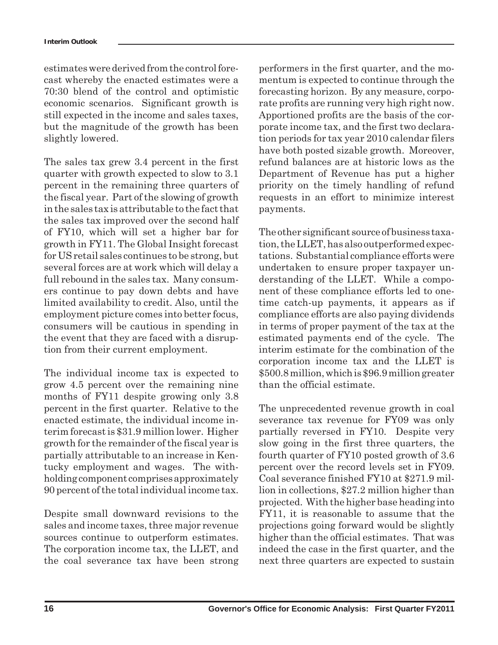estimates were derived from the control forecast whereby the enacted estimates were a 70:30 blend of the control and optimistic economic scenarios. Significant growth is still expected in the income and sales taxes, but the magnitude of the growth has been slightly lowered.

The sales tax grew 3.4 percent in the first quarter with growth expected to slow to 3.1 percent in the remaining three quarters of the fiscal year. Part of the slowing of growth in the sales tax is attributable to the fact that the sales tax improved over the second half of FY10, which will set a higher bar for growth in FY11. The Global Insight forecast for US retail sales continues to be strong, but several forces are at work which will delay a full rebound in the sales tax. Many consumers continue to pay down debts and have limited availability to credit. Also, until the employment picture comes into better focus, consumers will be cautious in spending in the event that they are faced with a disruption from their current employment.

The individual income tax is expected to grow 4.5 percent over the remaining nine months of FY11 despite growing only 3.8 percent in the first quarter. Relative to the enacted estimate, the individual income interim forecast is \$31.9 million lower. Higher growth for the remainder of the fiscal year is partially attributable to an increase in Kentucky employment and wages. The withholding component comprises approximately 90 percent of the total individual income tax.

Despite small downward revisions to the sales and income taxes, three major revenue sources continue to outperform estimates. The corporation income tax, the LLET, and the coal severance tax have been strong performers in the first quarter, and the momentum is expected to continue through the forecasting horizon. By any measure, corporate profits are running very high right now. Apportioned profits are the basis of the corporate income tax, and the first two declaration periods for tax year 2010 calendar filers have both posted sizable growth. Moreover, refund balances are at historic lows as the Department of Revenue has put a higher priority on the timely handling of refund requests in an effort to minimize interest payments.

The other significant source of business taxation, the LLET, has also outperformed expectations. Substantial compliance efforts were undertaken to ensure proper taxpayer understanding of the LLET. While a component of these compliance efforts led to onetime catch-up payments, it appears as if compliance efforts are also paying dividends in terms of proper payment of the tax at the estimated payments end of the cycle. The interim estimate for the combination of the corporation income tax and the LLET is \$500.8 million, which is \$96.9 million greater than the official estimate.

The unprecedented revenue growth in coal severance tax revenue for FY09 was only partially reversed in FY10. Despite very slow going in the first three quarters, the fourth quarter of FY10 posted growth of 3.6 percent over the record levels set in FY09. Coal severance finished FY10 at \$271.9 million in collections, \$27.2 million higher than projected. With the higher base heading into FY11, it is reasonable to assume that the projections going forward would be slightly higher than the official estimates. That was indeed the case in the first quarter, and the next three quarters are expected to sustain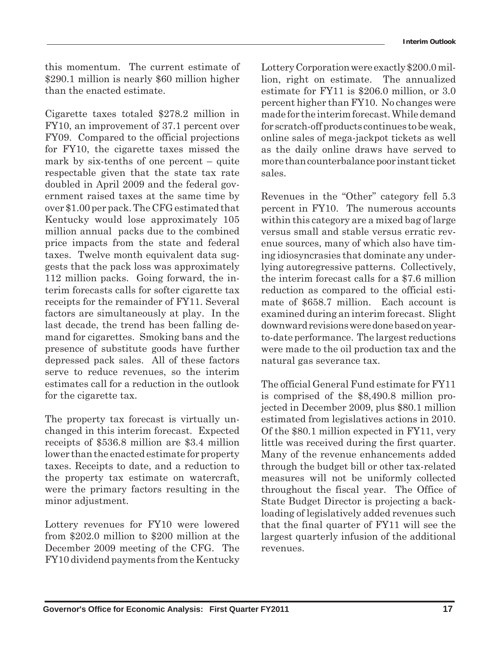**Interim Outlook**

this momentum. The current estimate of \$290.1 million is nearly \$60 million higher than the enacted estimate.

Cigarette taxes totaled \$278.2 million in FY10, an improvement of 37.1 percent over FY09. Compared to the official projections for FY10, the cigarette taxes missed the mark by six-tenths of one percent – quite respectable given that the state tax rate doubled in April 2009 and the federal government raised taxes at the same time by over \$1.00 per pack. The CFG estimated that Kentucky would lose approximately 105 million annual packs due to the combined price impacts from the state and federal taxes. Twelve month equivalent data suggests that the pack loss was approximately 112 million packs. Going forward, the interim forecasts calls for softer cigarette tax receipts for the remainder of FY11. Several factors are simultaneously at play. In the last decade, the trend has been falling demand for cigarettes. Smoking bans and the presence of substitute goods have further depressed pack sales. All of these factors serve to reduce revenues, so the interim estimates call for a reduction in the outlook for the cigarette tax.

The property tax forecast is virtually unchanged in this interim forecast. Expected receipts of \$536.8 million are \$3.4 million lower than the enacted estimate for property taxes. Receipts to date, and a reduction to the property tax estimate on watercraft, were the primary factors resulting in the minor adjustment.

Lottery revenues for FY10 were lowered from \$202.0 million to \$200 million at the December 2009 meeting of the CFG. The FY10 dividend payments from the Kentucky

than the enacted estimate. **Exercise 19** estimate for FY11 is \$206.0 million, or 3.0 Lottery Corporation were exactly \$200.0 million, right on estimate. The annualized percent higher than FY10. No changes were made for the interim forecast. While demand for scratch-off products continues to be weak, online sales of mega-jackpot tickets as well as the daily online draws have served to more than counterbalance poor instant ticket sales.

> Revenues in the "Other" category fell 5.3 percent in FY10. The numerous accounts within this category are a mixed bag of large versus small and stable versus erratic revenue sources, many of which also have timing idiosyncrasies that dominate any underlying autoregressive patterns. Collectively, the interim forecast calls for a \$7.6 million reduction as compared to the official estimate of \$658.7 million. Each account is examined during an interim forecast. Slight downward revisions were done based on yearto-date performance. The largest reductions were made to the oil production tax and the natural gas severance tax.

> The official General Fund estimate for FY11 is comprised of the \$8,490.8 million projected in December 2009, plus \$80.1 million estimated from legislatives actions in 2010. Of the \$80.1 million expected in FY11, very little was received during the first quarter. Many of the revenue enhancements added through the budget bill or other tax-related measures will not be uniformly collected throughout the fiscal year. The Office of State Budget Director is projecting a backloading of legislatively added revenues such that the final quarter of FY11 will see the largest quarterly infusion of the additional revenues.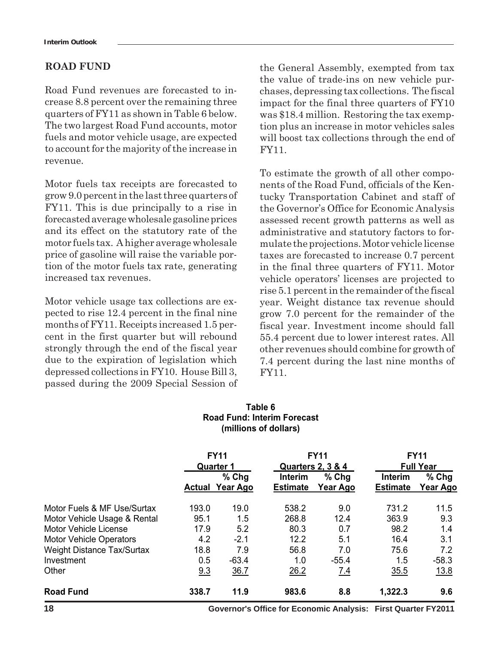#### **ROAD FUND**

Road Fund revenues are forecasted to increase 8.8 percent over the remaining three quarters of FY11 as shown in Table 6 below. The two largest Road Fund accounts, motor fuels and motor vehicle usage, are expected to account for the majority of the increase in revenue.

Motor fuels tax receipts are forecasted to grow 9.0 percent in the last three quarters of FY11. This is due principally to a rise in forecasted average wholesale gasoline prices and its effect on the statutory rate of the motor fuels tax. A higher average wholesale price of gasoline will raise the variable portion of the motor fuels tax rate, generating increased tax revenues.

Motor vehicle usage tax collections are expected to rise 12.4 percent in the final nine months of FY11. Receipts increased 1.5 percent in the first quarter but will rebound strongly through the end of the fiscal year due to the expiration of legislation which depressed collections in FY10. House Bill 3, passed during the 2009 Special Session of the General Assembly, exempted from tax the value of trade-ins on new vehicle purchases, depressing tax collections. The fiscal impact for the final three quarters of FY10 was \$18.4 million. Restoring the tax exemption plus an increase in motor vehicles sales will boost tax collections through the end of FY11.

To estimate the growth of all other components of the Road Fund, officials of the Kentucky Transportation Cabinet and staff of the Governor's Office for Economic Analysis assessed recent growth patterns as well as administrative and statutory factors to formulate the projections. Motor vehicle license taxes are forecasted to increase 0.7 percent in the final three quarters of FY11. Motor vehicle operators' licenses are projected to rise 5.1 percent in the remainder of the fiscal year. Weight distance tax revenue should grow 7.0 percent for the remainder of the fiscal year. Investment income should fall 55.4 percent due to lower interest rates. All other revenues should combine for growth of 7.4 percent during the last nine months of FY11.

#### **Table 6 Road Fund: Interim Forecast (millions of dollars)**

|                                |       | <b>FY11</b><br><b>Quarter 1</b><br>$%$ Chg<br><b>Actual Year Ago</b> | Interim<br><b>Estimate</b> | <b>FY11</b><br><b>Quarters 2, 3 &amp; 4</b><br>$%$ Chg<br>Year Ago | Interim<br><b>Estimate</b> | <b>FY11</b><br><b>Full Year</b><br>$%$ Chg<br><b>Year Ago</b> |
|--------------------------------|-------|----------------------------------------------------------------------|----------------------------|--------------------------------------------------------------------|----------------------------|---------------------------------------------------------------|
| Motor Fuels & MF Use/Surtax    | 193.0 | 19.0                                                                 | 538.2                      | 9.0                                                                | 731.2                      | 11.5                                                          |
| Motor Vehicle Usage & Rental   | 95.1  | 1.5                                                                  | 268.8                      | 12.4                                                               | 363.9                      | 9.3                                                           |
| Motor Vehicle License          | 17.9  | 5.2                                                                  | 80.3                       | 0.7                                                                | 98.2                       | 1.4                                                           |
| <b>Motor Vehicle Operators</b> | 4.2   | $-2.1$                                                               | 12.2                       | 5.1                                                                | 16.4                       | 3.1                                                           |
| Weight Distance Tax/Surtax     | 18.8  | 7.9                                                                  | 56.8                       | 7.0                                                                | 75.6                       | 7.2                                                           |
| Investment                     | 0.5   | $-63.4$                                                              | 1.0                        | $-55.4$                                                            | 1.5                        | $-58.3$                                                       |
| Other                          | 9.3   | 36.7                                                                 | 26.2                       | 7.4                                                                | 35.5                       | 13.8                                                          |
| <b>Road Fund</b>               | 338.7 | 11.9                                                                 | 983.6                      | 8.8                                                                | 1,322.3                    | 9.6                                                           |

**18 Governor's Office for Economic Analysis: First Quarter FY2011**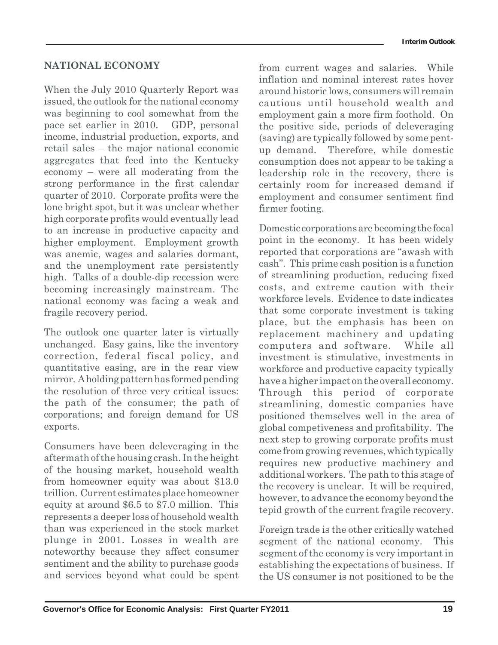#### **NATIONAL ECONOMY**

When the July 2010 Quarterly Report was around historic lows, consumers will remain issued, the outlook for the national economy was beginning to cool somewhat from the pace set earlier in 2010. GDP, personal income, industrial production, exports, and retail sales – the major national economic aggregates that feed into the Kentucky economy – were all moderating from the strong performance in the first calendar quarter of 2010. Corporate profits were the lone bright spot, but it was unclear whether high corporate profits would eventually lead to an increase in productive capacity and higher employment. Employment growth was anemic, wages and salaries dormant, and the unemployment rate persistently high. Talks of a double-dip recession were becoming increasingly mainstream. The national economy was facing a weak and fragile recovery period.

The outlook one quarter later is virtually unchanged. Easy gains, like the inventory correction, federal fiscal policy, and quantitative easing, are in the rear view mirror. A holding pattern has formed pending the resolution of three very critical issues: the path of the consumer; the path of corporations; and foreign demand for US exports.

Consumers have been deleveraging in the aftermath of the housing crash. In the height of the housing market, household wealth from homeowner equity was about \$13.0 trillion. Current estimates place homeowner equity at around \$6.5 to \$7.0 million. This represents a deeper loss of household wealth than was experienced in the stock market plunge in 2001. Losses in wealth are noteworthy because they affect consumer sentiment and the ability to purchase goods and services beyond what could be spent from current wages and salaries. While inflation and nominal interest rates hover around historic lows, consumers will remain cautious until household wealth and employment gain a more firm foothold. On the positive side, periods of deleveraging (saving) are typically followed by some pentup demand. Therefore, while domestic consumption does not appear to be taking a leadership role in the recovery, there is certainly room for increased demand if employment and consumer sentiment find firmer footing.

Domestic corporations are becoming the focal point in the economy. It has been widely reported that corporations are "awash with cash". This prime cash position is a function of streamlining production, reducing fixed costs, and extreme caution with their workforce levels. Evidence to date indicates that some corporate investment is taking place, but the emphasis has been on replacement machinery and updating computers and software. While all investment is stimulative, investments in workforce and productive capacity typically have a higher impact on the overall economy. Through this period of corporate streamlining, domestic companies have positioned themselves well in the area of global competiveness and profitability. The next step to growing corporate profits must come from growing revenues, which typically requires new productive machinery and additional workers. The path to this stage of the recovery is unclear. It will be required, however, to advance the economy beyond the tepid growth of the current fragile recovery.

Foreign trade is the other critically watched segment of the national economy. This segment of the economy is very important in establishing the expectations of business. If the US consumer is not positioned to be the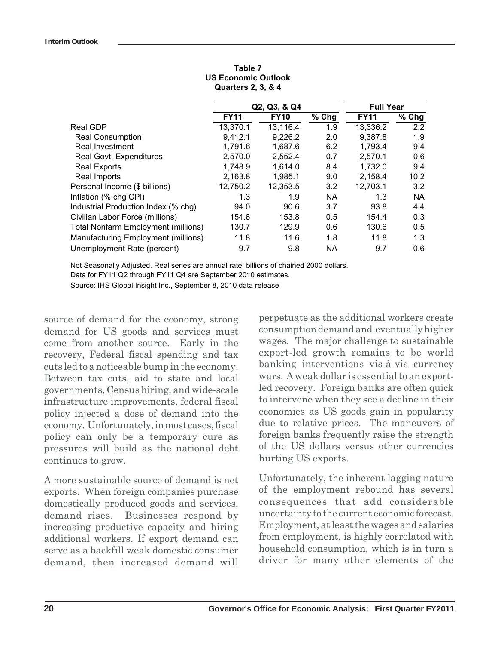|                                     | <b>Quarters 2, 3, &amp; 4</b> |              |           |                  |               |
|-------------------------------------|-------------------------------|--------------|-----------|------------------|---------------|
|                                     |                               | Q2, Q3, & Q4 |           | <b>Full Year</b> |               |
|                                     | <b>FY11</b>                   | <b>FY10</b>  | $%$ Chg   | <b>FY11</b>      | $%$ Chg       |
| <b>Real GDP</b>                     | 13,370.1                      | 13,116.4     | 1.9       | 13,336.2         | $2.2^{\circ}$ |
| <b>Real Consumption</b>             | 9,412.1                       | 9,226.2      | 2.0       | 9,387.8          | 1.9           |
| Real Investment                     | 1,791.6                       | 1,687.6      | 6.2       | 1,793.4          | 9.4           |
| Real Govt. Expenditures             | 2,570.0                       | 2,552.4      | 0.7       | 2,570.1          | 0.6           |
| <b>Real Exports</b>                 | 1,748.9                       | 1,614.0      | 8.4       | 1,732.0          | 9.4           |
| Real Imports                        | 2,163.8                       | 1,985.1      | 9.0       | 2,158.4          | 10.2          |
| Personal Income (\$ billions)       | 12,750.2                      | 12,353.5     | 3.2       | 12,703.1         | 3.2           |
| Inflation (% chg CPI)               | 1.3                           | 1.9          | <b>NA</b> | 1.3              | NA.           |
| Industrial Production Index (% chg) | 94.0                          | 90.6         | 3.7       | 93.8             | 4.4           |
| Civilian Labor Force (millions)     | 154.6                         | 153.8        | 0.5       | 154.4            | 0.3           |
| Total Nonfarm Employment (millions) | 130.7                         | 129.9        | 0.6       | 130.6            | 0.5           |
| Manufacturing Employment (millions) | 11.8                          | 11.6         | 1.8       | 11.8             | 1.3           |
| Unemployment Rate (percent)         | 9.7                           | 9.8          | NA.       | 9.7              | $-0.6$        |

## **Table 7 US Economic Outlook**

Not Seasonally Adjusted. Real series are annual rate, billions of chained 2000 dollars. Data for FY11 Q2 through FY11 Q4 are September 2010 estimates.

Source: IHS Global Insight Inc., September 8, 2010 data release

source of demand for the economy, strong demand for US goods and services must come from another source. Early in the recovery, Federal fiscal spending and tax cuts led to a noticeable bump in the economy. Between tax cuts, aid to state and local governments, Census hiring, and wide-scale infrastructure improvements, federal fiscal policy injected a dose of demand into the economy. Unfortunately, in most cases, fiscal policy can only be a temporary cure as pressures will build as the national debt continues to grow.

A more sustainable source of demand is net exports. When foreign companies purchase domestically produced goods and services, demand rises. Businesses respond by increasing productive capacity and hiring additional workers. If export demand can serve as a backfill weak domestic consumer demand, then increased demand will perpetuate as the additional workers create consumption demand and eventually higher wages. The major challenge to sustainable export-led growth remains to be world banking interventions vis-à-vis currency wars. A weak dollar is essential to an exportled recovery. Foreign banks are often quick to intervene when they see a decline in their economies as US goods gain in popularity due to relative prices. The maneuvers of foreign banks frequently raise the strength of the US dollars versus other currencies hurting US exports.

Unfortunately, the inherent lagging nature of the employment rebound has several consequences that add considerable uncertainty to the current economic forecast. Employment, at least the wages and salaries from employment, is highly correlated with household consumption, which is in turn a driver for many other elements of the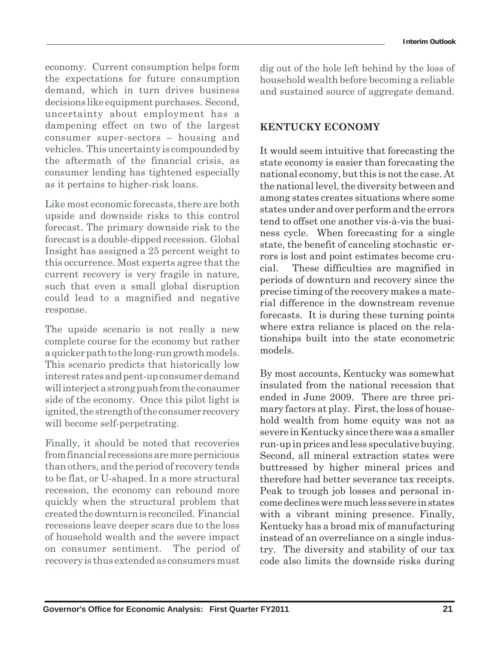demand, which in turn drives business and sustained source of aggregate demand. economy. Current consumption helps form the expectations for future consumption demand, which in turn drives business decisions like equipment purchases. Second, uncertainty about employment has a dampening effect on two of the largest consumer super-sectors – housing and vehicles. This uncertainty is compounded by the aftermath of the financial crisis, as consumer lending has tightened especially as it pertains to higher-risk loans.

Like most economic forecasts, there are both upside and downside risks to this control forecast. The primary downside risk to the forecast is a double-dipped recession. Global Insight has assigned a 25 percent weight to this occurrence. Most experts agree that the current recovery is very fragile in nature, such that even a small global disruption could lead to a magnified and negative response.

The upside scenario is not really a new complete course for the economy but rather a quicker path to the long-run growth models. This scenario predicts that historically low interest rates and pent-up consumer demand will interject a strong push from the consumer side of the economy. Once this pilot light is ignited, the strength of the consumer recovery will become self-perpetrating.

Finally, it should be noted that recoveries from financial recessions are more pernicious than others, and the period of recovery tends to be flat, or U-shaped. In a more structural recession, the economy can rebound more quickly when the structural problem that created the downturn is reconciled. Financial recessions leave deeper scars due to the loss of household wealth and the severe impact on consumer sentiment. The period of recovery is thus extended as consumers must

dig out of the hole left behind by the loss of household wealth before becoming a reliable

#### **KENTUCKY ECONOMY**

It would seem intuitive that forecasting the state economy is easier than forecasting the national economy, but this is not the case. At the national level, the diversity between and among states creates situations where some states under and over perform and the errors tend to offset one another vis-à-vis the business cycle. When forecasting for a single state, the benefit of canceling stochastic errors is lost and point estimates become crucial. These difficulties are magnified in periods of downturn and recovery since the precise timing of the recovery makes a material difference in the downstream revenue forecasts. It is during these turning points where extra reliance is placed on the relationships built into the state econometric models.

By most accounts, Kentucky was somewhat insulated from the national recession that ended in June 2009. There are three primary factors at play. First, the loss of household wealth from home equity was not as severe in Kentucky since there was a smaller run-up in prices and less speculative buying. Second, all mineral extraction states were buttressed by higher mineral prices and therefore had better severance tax receipts. Peak to trough job losses and personal income declines were much less severe in states with a vibrant mining presence. Finally, Kentucky has a broad mix of manufacturing instead of an overreliance on a single industry. The diversity and stability of our tax code also limits the downside risks during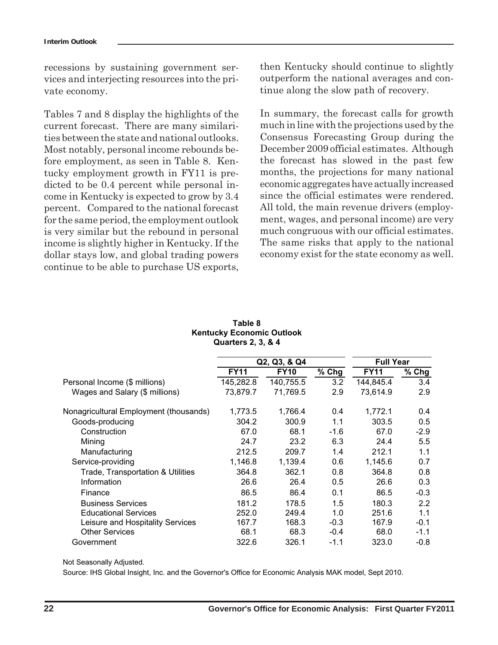recessions by sustaining government services and interjecting resources into the private economy.

Tables 7 and 8 display the highlights of the current forecast. There are many similarities between the state and national outlooks. Most notably, personal income rebounds before employment, as seen in Table 8. Kentucky employment growth in FY11 is predicted to be 0.4 percent while personal income in Kentucky is expected to grow by 3.4 percent. Compared to the national forecast for the same period, the employment outlook is very similar but the rebound in personal income is slightly higher in Kentucky. If the dollar stays low, and global trading powers continue to be able to purchase US exports, then Kentucky should continue to slightly outperform the national averages and continue along the slow path of recovery.

In summary, the forecast calls for growth much in line with the projections used by the Consensus Forecasting Group during the December 2009 official estimates. Although the forecast has slowed in the past few months, the projections for many national economic aggregates have actually increased since the official estimates were rendered. All told, the main revenue drivers (employment, wages, and personal income) are very much congruous with our official estimates. The same risks that apply to the national economy exist for the state economy as well.

|                                        | <b>Quarters 2, 3, &amp; 4</b> |              |         |                  |        |
|----------------------------------------|-------------------------------|--------------|---------|------------------|--------|
|                                        |                               | Q2, Q3, & Q4 |         | <b>Full Year</b> |        |
|                                        | <b>FY11</b>                   | <b>FY10</b>  | $%$ Chg | <b>FY11</b>      | % Chg  |
| Personal Income (\$ millions)          | 145,282.8                     | 140,755.5    | 3.2     | 144,845.4        | 3.4    |
| Wages and Salary (\$ millions)         | 73,879.7                      | 71,769.5     | 2.9     | 73,614.9         | 2.9    |
| Nonagricultural Employment (thousands) | 1,773.5                       | 1,766.4      | 0.4     | 1,772.1          | 0.4    |
| Goods-producing                        | 304.2                         | 300.9        | 1.1     | 303.5            | 0.5    |
| Construction                           | 67.0                          | 68.1         | $-1.6$  | 67.0             | $-2.9$ |
| Mining                                 | 24.7                          | 23.2         | 6.3     | 24.4             | 5.5    |
| Manufacturing                          | 212.5                         | 209.7        | 1.4     | 212.1            | 1.1    |
| Service-providing                      | 1,146.8                       | 1,139.4      | 0.6     | 1,145.6          | 0.7    |
| Trade, Transportation & Utilities      | 364.8                         | 362.1        | 0.8     | 364.8            | 0.8    |
| Information                            | 26.6                          | 26.4         | 0.5     | 26.6             | 0.3    |
| Finance                                | 86.5                          | 86.4         | 0.1     | 86.5             | $-0.3$ |
| <b>Business Services</b>               | 181.2                         | 178.5        | 1.5     | 180.3            | 2.2    |
| <b>Educational Services</b>            | 252.0                         | 249.4        | 1.0     | 251.6            | 1.1    |
| Leisure and Hospitality Services       | 167.7                         | 168.3        | $-0.3$  | 167.9            | $-0.1$ |
| <b>Other Services</b>                  | 68.1                          | 68.3         | $-0.4$  | 68.0             | $-1.1$ |
| Government                             | 322.6                         | 326.1        | $-1.1$  | 323.0            | $-0.8$ |

**Kentucky Economic Outlook Table 8**

Not Seasonally Adjusted.

Source: IHS Global Insight, Inc. and the Governor's Office for Economic Analysis MAK model, Sept 2010.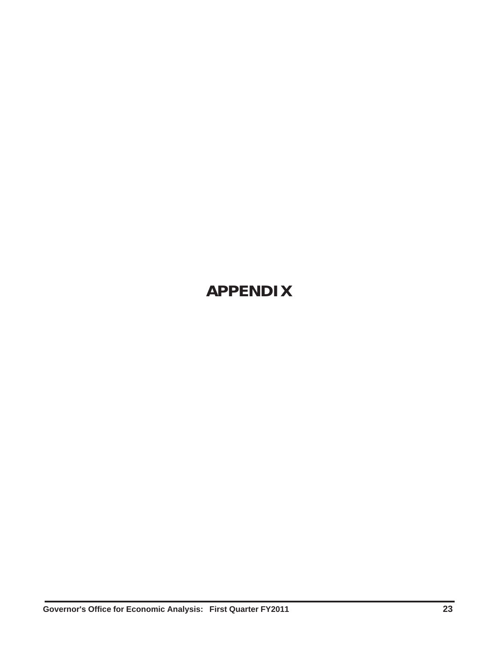## **APPENDIX**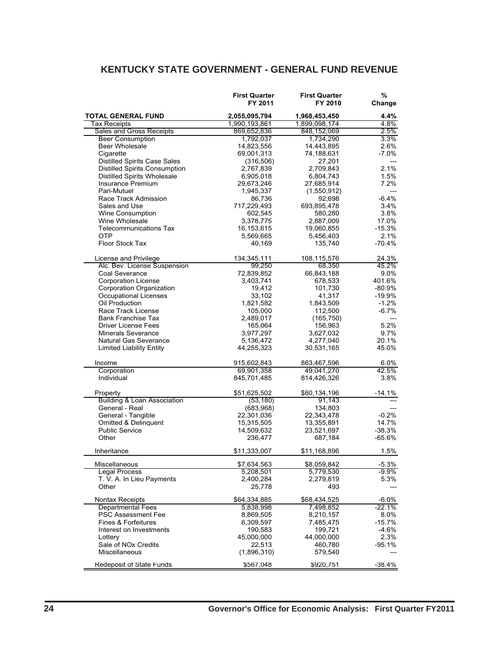#### **KENTUCKY STATE GOVERNMENT - GENERAL FUND REVENUE**

|                                                                             | <b>First Quarter</b><br>FY 2011 | <b>First Quarter</b><br>FY 2010 | %<br>Change       |
|-----------------------------------------------------------------------------|---------------------------------|---------------------------------|-------------------|
| <b>TOTAL GENERAL FUND</b>                                                   | 2,055,095,794                   | 1,968,453,450                   | 4.4%              |
| <b>Tax Receipts</b>                                                         | 1,990,193,861                   | 1,899,098,174                   | 4.8%              |
| Sales and Gross Receipts                                                    | 869,652,836                     | 848, 152, 069                   | 2.5%              |
| <b>Beer Consumption</b>                                                     | 1,792,037                       | 1,734,290                       | 3.3%              |
| <b>Beer Wholesale</b>                                                       | 14,823,556                      | 14,443,895                      | 2.6%<br>$-7.0%$   |
| Cigarette                                                                   | 69,001,313                      | 74,188,631                      | $---$             |
| <b>Distilled Spirits Case Sales</b><br><b>Distilled Spirits Consumption</b> | (316, 506)<br>2,767,839         | 27,201<br>2,709,843             | 2.1%              |
| <b>Distilled Spirits Wholesale</b>                                          | 6,905,018                       | 6,804,743                       | 1.5%              |
| Insurance Premium                                                           | 29,673,246                      | 27,685,914                      | 7.2%              |
| Pari-Mutuel                                                                 | 1,945,337                       | (1,550,912)                     |                   |
| Race Track Admission                                                        | 86,736                          | 92,698                          | $-6.4%$           |
| Sales and Use                                                               | 717,229,493                     | 693,895,478                     | 3.4%              |
| <b>Wine Consumption</b>                                                     | 602,545                         | 580,280                         | 3.8%              |
| Wine Wholesale                                                              | 3,378,775                       | 2,887,009                       | 17.0%             |
| <b>Telecommunications Tax</b>                                               | 16, 153, 615                    | 19,060,855                      | $-15.3%$          |
| OTP                                                                         | 5,569,665                       | 5,456,403                       | $2.1\%$           |
| Floor Stock Tax                                                             | 40,169                          | 135,740                         | $-70.4%$          |
| License and Privilege                                                       | 134,345,111                     | 108,115,576                     | 24.3%             |
| Alc. Bev. License Suspension                                                | 99,250                          | 68,350                          | 45.2%             |
| Coal Severance                                                              | 72,839,852                      | 66,843,188                      | 9.0%              |
| <b>Corporation License</b>                                                  | 3,403,741                       | 678,533                         | 401.6%            |
| Corporation Organization                                                    | 19,412                          | 101,730                         | $-80.9%$          |
| <b>Occupational Licenses</b>                                                | 33,102                          | 41,317                          | $-19.9%$          |
| Oil Production                                                              | 1,821,582                       | 1,843,509                       | $-1.2%$           |
| Race Track License                                                          | 105,000                         | 112,500                         | $-6.7%$           |
| <b>Bank Franchise Tax</b>                                                   | 2,489,017                       | (165, 750)                      |                   |
| <b>Driver License Fees</b>                                                  | 165,064                         | 156,963                         | 5.2%              |
| <b>Minerals Severance</b>                                                   | 3,977,297                       | 3,627,032                       | 9.7%              |
| Natural Gas Severance                                                       | 5,136,472                       | 4,277,040                       | 20.1%             |
| <b>Limited Liability Entity</b>                                             | 44,255,323                      | 30,531,165                      | 45.0%             |
| Income                                                                      | 915,602,843                     | 863,467,596                     | 6.0%              |
| Corporation                                                                 | 69,901,358                      | 49,041,270                      | 42.5%             |
| Individual                                                                  | 845,701,485                     | 814,426,326                     | 3.8%              |
| Property                                                                    | \$51,625,502                    | \$60,134,196                    | $-14.1%$          |
| <b>Building &amp; Loan Association</b>                                      | (53, 180)                       | 91,143                          |                   |
| General - Real                                                              | (683,968)                       | 134,803                         |                   |
| General - Tangible                                                          | 22,301,036                      | 22,343,478                      | $-0.2%$           |
| <b>Omitted &amp; Delinquent</b>                                             | 15,315,505                      | 13,355,891                      | 14.7%<br>$-38.3%$ |
| <b>Public Service</b><br>Other                                              | 14,509,632<br>236,477           | 23,521,697<br>687,184           | -65.6%            |
| Inheritance                                                                 | \$11,333,007                    | \$11,168,896                    | 1.5%              |
| Miscellaneous                                                               | \$7,634,563                     | \$8,059,842                     | $-5.3%$           |
| <b>Legal Process</b>                                                        | 5,208,501                       | 5,779,530                       | -9.9%             |
| T. V. A. In Lieu Payments                                                   | 2,400,284                       | 2,279,819                       | 5.3%              |
| Other                                                                       | 25,778                          | 493                             |                   |
| Nontax Receipts                                                             | \$64,334,885                    | \$68,434,525                    | $-6.0%$           |
| <b>Departmental Fees</b>                                                    | 5,838,998                       | 7,498,852                       | $-22.1%$          |
| PSC Assessment Fee                                                          | 8,869,505                       | 8,210,157                       | 8.0%              |
| <b>Fines &amp; Forfeitures</b>                                              | 6,309,597                       | 7,485,475                       | $-15.7%$          |
| Interest on Investments                                                     | 190,583                         | 199,721                         | $-4.6%$           |
| Lottery                                                                     | 45,000,000                      | 44,000,000                      | 2.3%              |
| Sale of NO <sub>x</sub> Credits                                             | 22,513                          | 460,780                         | $-95.1%$          |
| Miscellaneous                                                               | (1,896,310)                     | 579,540                         |                   |
| <b>Redeposit of State Funds</b>                                             | \$567,048                       | \$920,751                       | $-38.4%$          |